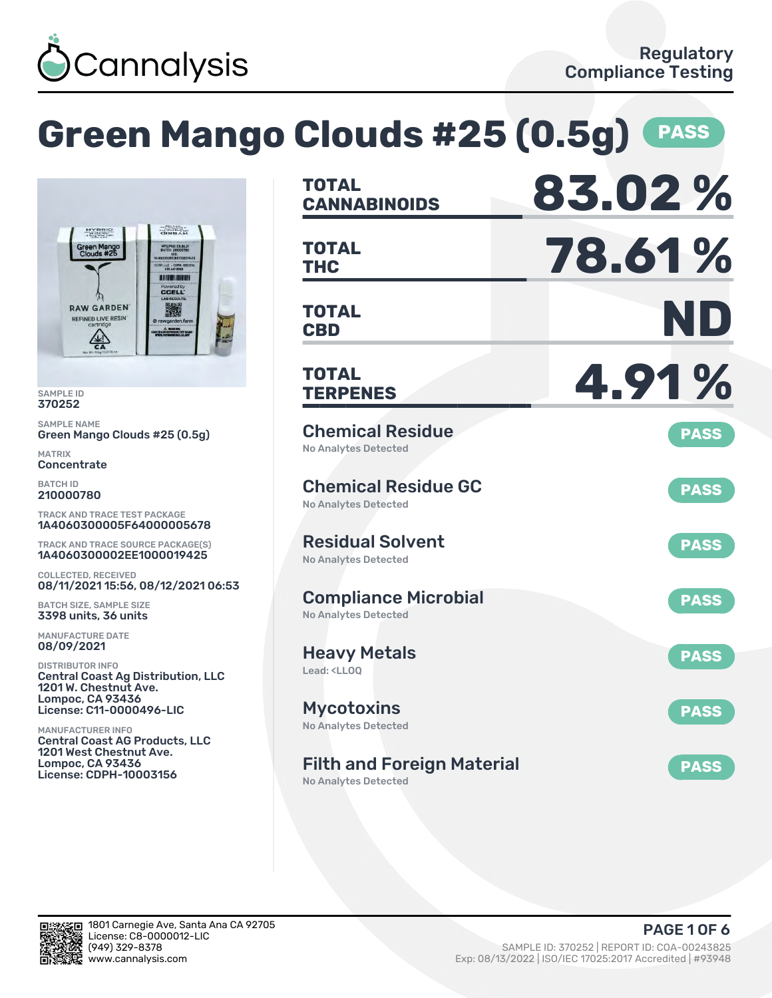

# **Green Mango Clouds #25 (0.5g) PASS**



SAMPLE ID 370252

SAMPLE NAME Green Mango Clouds #25 (0.5g)

MATRIX **Concentrate** 

BATCH ID 210000780

TRACK AND TRACE TEST PACKAGE 1A4060300005F64000005678

TRACK AND TRACE SOURCE PACKAGE(S) 1A4060300002EE1000019425

COLLECTED, RECEIVED 08/11/2021 15:56, 08/12/2021 06:53

BATCH SIZE, SAMPLE SIZE 3398 units, 36 units

MANUFACTURE DATE 08/09/2021

DISTRIBUTOR INFO Central Coast Ag Distribution, LLC 1201 W. Chestnut Ave. Lompoc, CA 93436 License: C11-0000496-LIC

MANUFACTURER INFO Central Coast AG Products, LLC 1201 West Chestnut Ave. Lompoc, CA 93436 License: CDPH-10003156

| TOTAL<br><b>CANNABINOIDS</b>                                           | 83.02%      |
|------------------------------------------------------------------------|-------------|
| <b>TOTAL</b><br>THC                                                    | 78.61%      |
| <b>TOTAL</b><br><b>CBD</b>                                             | ND          |
| <b>TOTAL</b><br><b>TERPENES</b>                                        | 4.91%       |
| <b>Chemical Residue</b><br><b>No Analytes Detected</b>                 | <b>PASS</b> |
| <b>Chemical Residue GC</b><br><b>No Analytes Detected</b>              | <b>PASS</b> |
| <b>Residual Solvent</b><br><b>No Analytes Detected</b>                 | <b>PASS</b> |
| <b>Compliance Microbial</b><br><b>No Analytes Detected</b>             | <b>PASS</b> |
| <b>Heavy Metals</b><br>Lead: <ll00< td=""><td><b>PASS</b></td></ll00<> | <b>PASS</b> |
| <b>Mycotoxins</b><br>No Analytes Detected                              | <b>PASS</b> |
| <b>Filth and Foreign Material</b><br><b>No Analytes Detected</b>       | <b>PASS</b> |

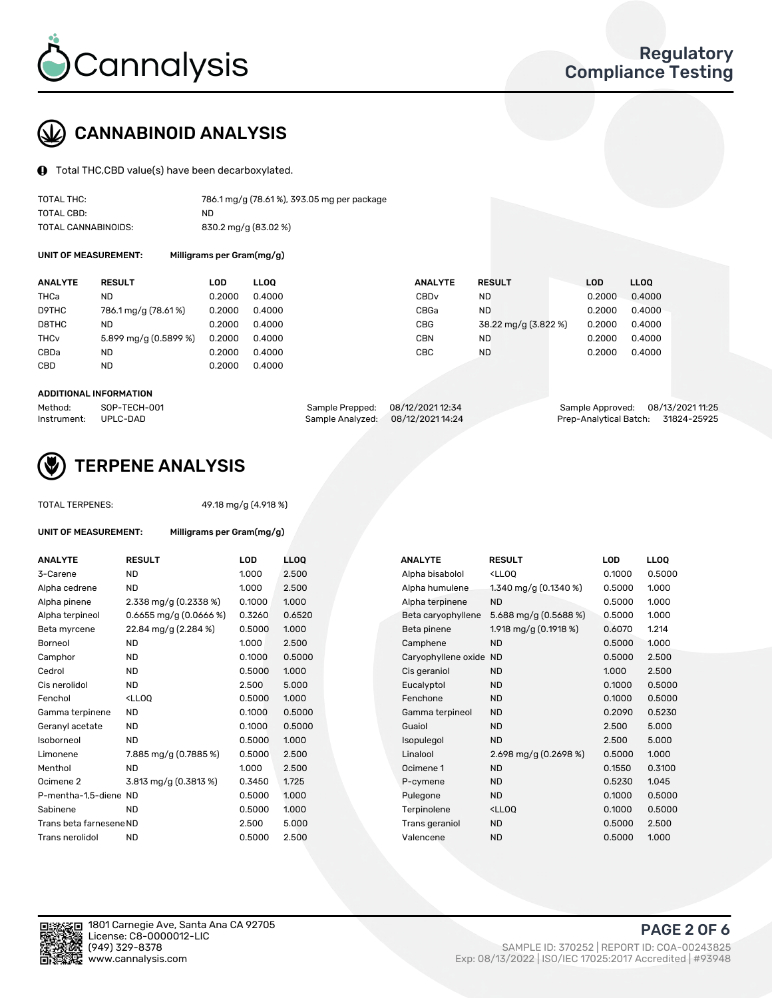

# CANNABINOID ANALYSIS

Total THC,CBD value(s) have been decarboxylated.

| TOTAL THC:          | 786.1 mg/g (78.61%), 393.05 mg per package |
|---------------------|--------------------------------------------|
| TOTAL CBD:          | ND.                                        |
| TOTAL CANNABINOIDS: | 830.2 mg/g (83.02 %)                       |

UNIT OF MEASUREMENT: Milligrams per Gram(mg/g)

| <b>ANALYTE</b>         | <b>RESULT</b>         | LOD    | <b>LLOO</b> | <b>ANALYTE</b>   | <b>RESULT</b>        | LOD    | LL <sub>00</sub> |
|------------------------|-----------------------|--------|-------------|------------------|----------------------|--------|------------------|
| THCa                   | ND                    | 0.2000 | 0.4000      | CBD <sub>v</sub> | ND.                  | 0.2000 | 0.4000           |
| D9THC                  | 786.1 mg/g (78.61%)   | 0.2000 | 0.4000      | CBGa             | ND.                  | 0.2000 | 0.4000           |
| D8THC                  | ND                    | 0.2000 | 0.4000      | <b>CBG</b>       | 38.22 mg/g (3.822 %) | 0.2000 | 0.4000           |
| <b>THC<sub>v</sub></b> | 5.899 mg/g (0.5899 %) | 0.2000 | 0.4000      | <b>CBN</b>       | ND                   | 0.2000 | 0.4000           |
| CBDa                   | ND                    | 0.2000 | 0.4000      | CBC              | <b>ND</b>            | 0.2000 | 0.4000           |
| CBD                    | ND                    | 0.2000 | 0.4000      |                  |                      |        |                  |
|                        |                       |        |             |                  |                      |        |                  |

#### ADDITIONAL INFORMATION

| Method:              | SOP-TECH-001 | Sample Prepped: 08/12/2021 12:34  | Sample Approved: 08/13/2021 11:25  |  |
|----------------------|--------------|-----------------------------------|------------------------------------|--|
| Instrument: UPLC-DAD |              | Sample Analyzed: 08/12/2021 14:24 | Prep-Analytical Batch: 31824-25925 |  |



## TERPENE ANALYSIS

TOTAL TERPENES: 49.18 mg/g (4.918 %)

| UNIT OF MEASUREMENT:    | Milligrams per Gram(mg/g)                                                                                         |            |                  |                     |                                                   |            |       |
|-------------------------|-------------------------------------------------------------------------------------------------------------------|------------|------------------|---------------------|---------------------------------------------------|------------|-------|
| <b>ANALYTE</b>          | <b>RESULT</b>                                                                                                     | <b>LOD</b> | LL <sub>OO</sub> | <b>ANALYTE</b>      | <b>RESULT</b>                                     | <b>LOD</b> | LLOO  |
| 3-Carene                | <b>ND</b>                                                                                                         | 1.000      | 2.500            | Alpha bisabolol     | <ll0q< td=""><td>0.1000</td><td>0.50</td></ll0q<> | 0.1000     | 0.50  |
| Alpha cedrene           | <b>ND</b>                                                                                                         | 1.000      | 2.500            | Alpha humulene      | 1.340 mg/g $(0.1340\%)$                           | 0.5000     | 1.000 |
| Alpha pinene            | 2.338 mg/g (0.2338 %)                                                                                             | 0.1000     | 1.000            | Alpha terpinene     | <b>ND</b>                                         | 0.5000     | 1.000 |
| Alpha terpineol         | $0.6655$ mg/g $(0.0666%)$                                                                                         | 0.3260     | 0.6520           | Beta caryophyllene  | 5.688 mg/g (0.5688 %)                             | 0.5000     | 1.000 |
| Beta myrcene            | 22.84 mg/g (2.284 %)                                                                                              | 0.5000     | 1.000            | Beta pinene         | 1.918 mg/g $(0.1918\%)$                           | 0.6070     | 1.214 |
| <b>Borneol</b>          | <b>ND</b>                                                                                                         | 1.000      | 2.500            | Camphene            | <b>ND</b>                                         | 0.5000     | 1.000 |
| Camphor                 | <b>ND</b>                                                                                                         | 0.1000     | 0.5000           | Caryophyllene oxide | <b>ND</b>                                         | 0.5000     | 2.50  |
| Cedrol                  | <b>ND</b>                                                                                                         | 0.5000     | 1.000            | Cis geraniol        | <b>ND</b>                                         | 1.000      | 2.50  |
| Cis nerolidol           | <b>ND</b>                                                                                                         | 2.500      | 5.000            | Eucalyptol          | <b>ND</b>                                         | 0.1000     | 0.50  |
| Fenchol                 | <lloq< td=""><td>0.5000</td><td>1.000</td><td>Fenchone</td><td><b>ND</b></td><td>0.1000</td><td>0.50</td></lloq<> | 0.5000     | 1.000            | Fenchone            | <b>ND</b>                                         | 0.1000     | 0.50  |
| Gamma terpinene         | <b>ND</b>                                                                                                         | 0.1000     | 0.5000           | Gamma terpineol     | <b>ND</b>                                         | 0.2090     | 0.52  |
| Geranyl acetate         | <b>ND</b>                                                                                                         | 0.1000     | 0.5000           | Guaiol              | <b>ND</b>                                         | 2.500      | 5.00  |
| Isoborneol              | <b>ND</b>                                                                                                         | 0.5000     | 1.000            | Isopulegol          | <b>ND</b>                                         | 2.500      | 5.00  |
| Limonene                | 7.885 mg/g (0.7885 %)                                                                                             | 0.5000     | 2.500            | Linalool            | 2.698 mg/g $(0.2698\%)$                           | 0.5000     | 1.000 |
| Menthol                 | <b>ND</b>                                                                                                         | 1.000      | 2.500            | Ocimene 1           | <b>ND</b>                                         | 0.1550     | 0.310 |
| Ocimene 2               | 3.813 mg/g $(0.3813\%)$                                                                                           | 0.3450     | 1.725            | P-cymene            | <b>ND</b>                                         | 0.5230     | 1.045 |
| P-mentha-1,5-diene ND   |                                                                                                                   | 0.5000     | 1.000            | Pulegone            | <b>ND</b>                                         | 0.1000     | 0.50  |
| Sabinene                | <b>ND</b>                                                                                                         | 0.5000     | 1.000            | Terpinolene         | <lloq< td=""><td>0.1000</td><td>0.50</td></lloq<> | 0.1000     | 0.50  |
| Trans beta farnesene ND |                                                                                                                   | 2.500      | 5.000            | Trans geraniol      | <b>ND</b>                                         | 0.5000     | 2.50  |
| Trans nerolidol         | <b>ND</b>                                                                                                         | 0.5000     | 2.500            | Valencene           | <b>ND</b>                                         | 0.5000     | 1.000 |

| ANALYTE                 | <b>RESULT</b>                                                                                                       | <b>LOD</b> | <b>LLOQ</b> | <b>ANALYTE</b>      | <b>RESULT</b>                                       | <b>LOD</b> | <b>LLOQ</b> |
|-------------------------|---------------------------------------------------------------------------------------------------------------------|------------|-------------|---------------------|-----------------------------------------------------|------------|-------------|
| 3-Carene                | <b>ND</b>                                                                                                           | 1.000      | 2.500       | Alpha bisabolol     | <lloq< td=""><td>0.1000</td><td>0.5000</td></lloq<> | 0.1000     | 0.5000      |
| Alpha cedrene           | <b>ND</b>                                                                                                           | 1.000      | 2.500       | Alpha humulene      | 1.340 mg/g (0.1340 %)                               | 0.5000     | 1.000       |
| Alpha pinene            | 2.338 mg/g (0.2338 %)                                                                                               | 0.1000     | 1.000       | Alpha terpinene     | <b>ND</b>                                           | 0.5000     | 1.000       |
| Alpha terpineol         | $0.6655$ mg/g $(0.0666%)$                                                                                           | 0.3260     | 0.6520      | Beta caryophyllene  | 5.688 mg/g $(0.5688%)$                              | 0.5000     | 1.000       |
| Beta myrcene            | 22.84 mg/g (2.284 %)                                                                                                | 0.5000     | 1.000       | Beta pinene         | 1.918 mg/g (0.1918 %)                               | 0.6070     | 1.214       |
| Borneol                 | <b>ND</b>                                                                                                           | 1.000      | 2.500       | Camphene            | <b>ND</b>                                           | 0.5000     | 1.000       |
| Camphor                 | <b>ND</b>                                                                                                           | 0.1000     | 0.5000      | Caryophyllene oxide | <b>ND</b>                                           | 0.5000     | 2.500       |
| Cedrol                  | <b>ND</b>                                                                                                           | 0.5000     | 1.000       | Cis geraniol        | <b>ND</b>                                           | 1.000      | 2.500       |
| Cis nerolidol           | <b>ND</b>                                                                                                           | 2.500      | 5.000       | Eucalyptol          | <b>ND</b>                                           | 0.1000     | 0.5000      |
| Fenchol                 | <lloq< td=""><td>0.5000</td><td>1.000</td><td>Fenchone</td><td><b>ND</b></td><td>0.1000</td><td>0.5000</td></lloq<> | 0.5000     | 1.000       | Fenchone            | <b>ND</b>                                           | 0.1000     | 0.5000      |
| Gamma terpinene         | <b>ND</b>                                                                                                           | 0.1000     | 0.5000      | Gamma terpineol     | <b>ND</b>                                           | 0.2090     | 0.5230      |
| Geranyl acetate         | ND                                                                                                                  | 0.1000     | 0.5000      | Guaiol              | <b>ND</b>                                           | 2.500      | 5.000       |
| Isoborneol              | <b>ND</b>                                                                                                           | 0.5000     | 1.000       | Isopulegol          | <b>ND</b>                                           | 2.500      | 5.000       |
| Limonene                | 7.885 mg/g (0.7885 %)                                                                                               | 0.5000     | 2.500       | Linalool            | 2.698 mg/g $(0.2698\%)$                             | 0.5000     | 1.000       |
| Menthol                 | <b>ND</b>                                                                                                           | 1.000      | 2.500       | Ocimene 1           | <b>ND</b>                                           | 0.1550     | 0.3100      |
| Ocimene 2               | 3.813 mg/g (0.3813 %)                                                                                               | 0.3450     | 1.725       | P-cymene            | <b>ND</b>                                           | 0.5230     | 1.045       |
| P-mentha-1,5-diene ND   |                                                                                                                     | 0.5000     | 1.000       | Pulegone            | <b>ND</b>                                           | 0.1000     | 0.5000      |
| Sabinene                | <b>ND</b>                                                                                                           | 0.5000     | 1.000       | Terpinolene         | <ll0q< td=""><td>0.1000</td><td>0.5000</td></ll0q<> | 0.1000     | 0.5000      |
| Trans beta farnesene ND |                                                                                                                     | 2.500      | 5.000       | Trans geraniol      | <b>ND</b>                                           | 0.5000     | 2.500       |
| Trans nerolidol         | <b>ND</b>                                                                                                           | 0.5000     | 2.500       | Valencene           | <b>ND</b>                                           | 0.5000     | 1.000       |

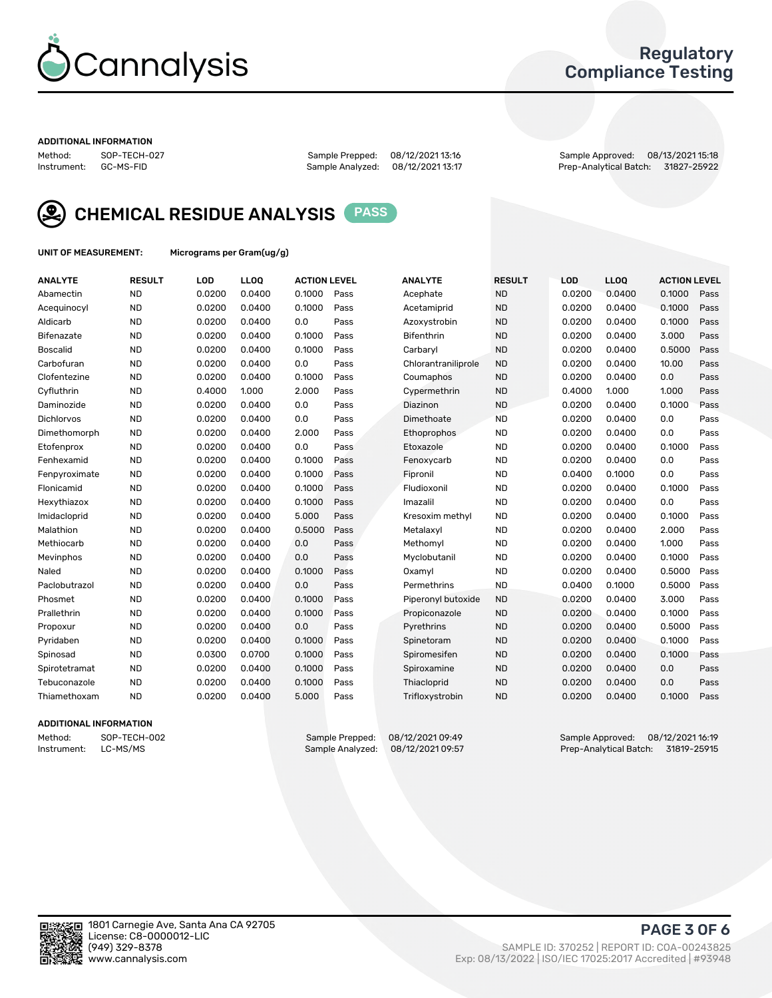

### Regulatory Compliance Testing

#### ADDITIONAL INFORMATION

Method: SOP-TECH-027 Sample Prepped: 08/12/2021 13:16 Sample Approved: 08/13/2021 15:18 Prep-Analytical Batch: 31827-25922



CHEMICAL RESIDUE ANALYSIS PASS

UNIT OF MEASUREMENT: Micrograms per Gram(ug/g)

| <b>ANALYTE</b>    | <b>RESULT</b> | LOD    | <b>LLOQ</b> | <b>ACTION LEVEL</b> |      | <b>ANALYTE</b>      | <b>RESULT</b> | LOD    | <b>LLOQ</b> | <b>ACTION LEVEL</b> |      |
|-------------------|---------------|--------|-------------|---------------------|------|---------------------|---------------|--------|-------------|---------------------|------|
| Abamectin         | <b>ND</b>     | 0.0200 | 0.0400      | 0.1000              | Pass | Acephate            | <b>ND</b>     | 0.0200 | 0.0400      | 0.1000              | Pass |
| Acequinocyl       | <b>ND</b>     | 0.0200 | 0.0400      | 0.1000              | Pass | Acetamiprid         | <b>ND</b>     | 0.0200 | 0.0400      | 0.1000              | Pass |
| Aldicarb          | <b>ND</b>     | 0.0200 | 0.0400      | 0.0                 | Pass | Azoxystrobin        | <b>ND</b>     | 0.0200 | 0.0400      | 0.1000              | Pass |
| Bifenazate        | <b>ND</b>     | 0.0200 | 0.0400      | 0.1000              | Pass | <b>Bifenthrin</b>   | <b>ND</b>     | 0.0200 | 0.0400      | 3.000               | Pass |
| <b>Boscalid</b>   | <b>ND</b>     | 0.0200 | 0.0400      | 0.1000              | Pass | Carbaryl            | <b>ND</b>     | 0.0200 | 0.0400      | 0.5000              | Pass |
| Carbofuran        | <b>ND</b>     | 0.0200 | 0.0400      | 0.0                 | Pass | Chlorantraniliprole | <b>ND</b>     | 0.0200 | 0.0400      | 10.00               | Pass |
| Clofentezine      | <b>ND</b>     | 0.0200 | 0.0400      | 0.1000              | Pass | Coumaphos           | <b>ND</b>     | 0.0200 | 0.0400      | 0.0                 | Pass |
| Cyfluthrin        | <b>ND</b>     | 0.4000 | 1.000       | 2.000               | Pass | Cypermethrin        | <b>ND</b>     | 0.4000 | 1.000       | 1.000               | Pass |
| Daminozide        | <b>ND</b>     | 0.0200 | 0.0400      | 0.0                 | Pass | Diazinon            | <b>ND</b>     | 0.0200 | 0.0400      | 0.1000              | Pass |
| <b>Dichlorvos</b> | <b>ND</b>     | 0.0200 | 0.0400      | 0.0                 | Pass | Dimethoate          | <b>ND</b>     | 0.0200 | 0.0400      | 0.0                 | Pass |
| Dimethomorph      | <b>ND</b>     | 0.0200 | 0.0400      | 2.000               | Pass | <b>Ethoprophos</b>  | <b>ND</b>     | 0.0200 | 0.0400      | 0.0                 | Pass |
| Etofenprox        | <b>ND</b>     | 0.0200 | 0.0400      | 0.0                 | Pass | Etoxazole           | <b>ND</b>     | 0.0200 | 0.0400      | 0.1000              | Pass |
| Fenhexamid        | <b>ND</b>     | 0.0200 | 0.0400      | 0.1000              | Pass | Fenoxycarb          | <b>ND</b>     | 0.0200 | 0.0400      | 0.0                 | Pass |
| Fenpyroximate     | <b>ND</b>     | 0.0200 | 0.0400      | 0.1000              | Pass | Fipronil            | <b>ND</b>     | 0.0400 | 0.1000      | 0.0                 | Pass |
| Flonicamid        | <b>ND</b>     | 0.0200 | 0.0400      | 0.1000              | Pass | Fludioxonil         | <b>ND</b>     | 0.0200 | 0.0400      | 0.1000              | Pass |
| Hexythiazox       | <b>ND</b>     | 0.0200 | 0.0400      | 0.1000              | Pass | Imazalil            | <b>ND</b>     | 0.0200 | 0.0400      | 0.0                 | Pass |
| Imidacloprid      | <b>ND</b>     | 0.0200 | 0.0400      | 5.000               | Pass | Kresoxim methyl     | <b>ND</b>     | 0.0200 | 0.0400      | 0.1000              | Pass |
| Malathion         | <b>ND</b>     | 0.0200 | 0.0400      | 0.5000              | Pass | Metalaxyl           | <b>ND</b>     | 0.0200 | 0.0400      | 2.000               | Pass |
| Methiocarb        | <b>ND</b>     | 0.0200 | 0.0400      | 0.0                 | Pass | Methomyl            | <b>ND</b>     | 0.0200 | 0.0400      | 1.000               | Pass |
| Mevinphos         | <b>ND</b>     | 0.0200 | 0.0400      | 0.0                 | Pass | Myclobutanil        | <b>ND</b>     | 0.0200 | 0.0400      | 0.1000              | Pass |
| Naled             | <b>ND</b>     | 0.0200 | 0.0400      | 0.1000              | Pass | Oxamyl              | <b>ND</b>     | 0.0200 | 0.0400      | 0.5000              | Pass |
| Paclobutrazol     | <b>ND</b>     | 0.0200 | 0.0400      | 0.0                 | Pass | Permethrins         | <b>ND</b>     | 0.0400 | 0.1000      | 0.5000              | Pass |
| Phosmet           | <b>ND</b>     | 0.0200 | 0.0400      | 0.1000              | Pass | Piperonyl butoxide  | <b>ND</b>     | 0.0200 | 0.0400      | 3.000               | Pass |
| Prallethrin       | <b>ND</b>     | 0.0200 | 0.0400      | 0.1000              | Pass | Propiconazole       | <b>ND</b>     | 0.0200 | 0.0400      | 0.1000              | Pass |
| Propoxur          | <b>ND</b>     | 0.0200 | 0.0400      | 0.0                 | Pass | Pyrethrins          | <b>ND</b>     | 0.0200 | 0.0400      | 0.5000              | Pass |
| Pyridaben         | <b>ND</b>     | 0.0200 | 0.0400      | 0.1000              | Pass | Spinetoram          | <b>ND</b>     | 0.0200 | 0.0400      | 0.1000              | Pass |
| Spinosad          | <b>ND</b>     | 0.0300 | 0.0700      | 0.1000              | Pass | Spiromesifen        | <b>ND</b>     | 0.0200 | 0.0400      | 0.1000              | Pass |
| Spirotetramat     | <b>ND</b>     | 0.0200 | 0.0400      | 0.1000              | Pass | Spiroxamine         | <b>ND</b>     | 0.0200 | 0.0400      | 0.0                 | Pass |
| Tebuconazole      | <b>ND</b>     | 0.0200 | 0.0400      | 0.1000              | Pass | Thiacloprid         | <b>ND</b>     | 0.0200 | 0.0400      | 0.0                 | Pass |
| Thiamethoxam      | <b>ND</b>     | 0.0200 | 0.0400      | 5.000               | Pass | Trifloxystrobin     | <b>ND</b>     | 0.0200 | 0.0400      | 0.1000              | Pass |

### ADDITIONAL INFORMATION

Method: SOP-TECH-002 Sample Prepped: 08/12/2021 09:49 Sample Approved: 08/12/2021 16:19<br>Instrument: LC-MS/MS Sample Analyzed: 08/12/2021 09:57 Prep-Analytical Batch: 31819-25915 Prep-Analytical Batch: 31819-25915

PAGE 3 OF 6

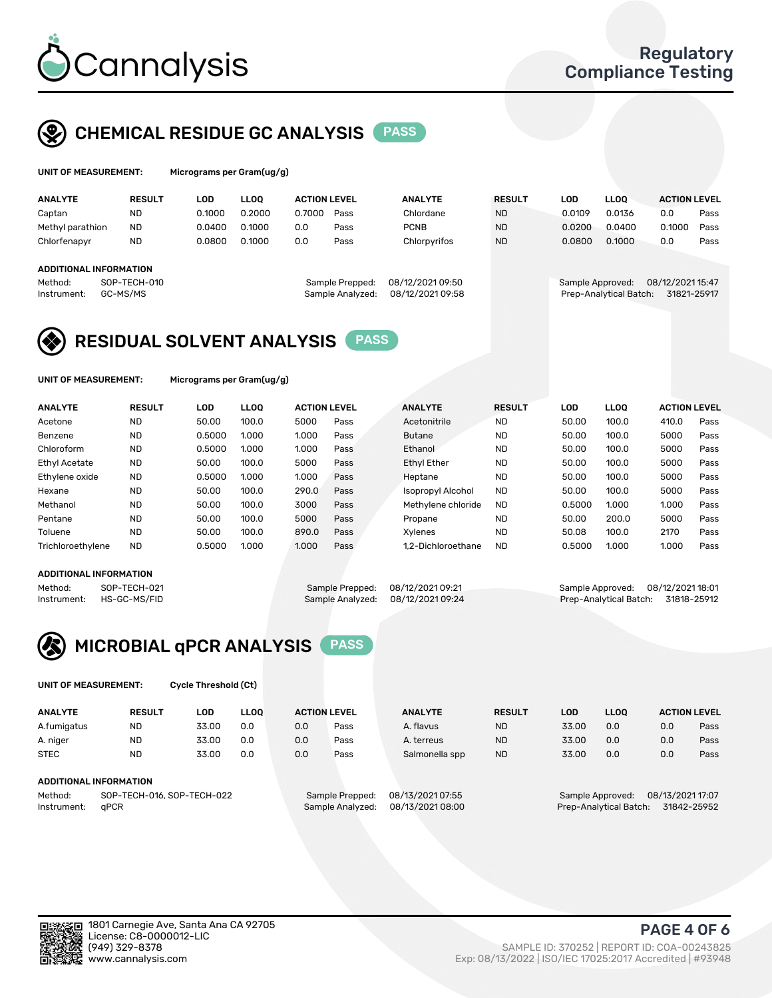

# CHEMICAL RESIDUE GC ANALYSIS PASS

| UNIT OF MEASUREMENT: | Micr |
|----------------------|------|
|----------------------|------|

ograms per Gram(ug/g)

| <b>RESULT</b> | LOD                                                | <b>LLOO</b> |        |      | <b>ANALYTE</b>                                             | <b>RESULT</b>                        | LOD    | <b>LLOO</b> | <b>ACTION LEVEL</b> |                                                           |
|---------------|----------------------------------------------------|-------------|--------|------|------------------------------------------------------------|--------------------------------------|--------|-------------|---------------------|-----------------------------------------------------------|
| <b>ND</b>     | 0.1000                                             | 0.2000      | 0.7000 | Pass | Chlordane                                                  | <b>ND</b>                            | 0.0109 | 0.0136      | 0.0                 | Pass                                                      |
| <b>ND</b>     | 0.0400                                             | 0.1000      | 0.0    | Pass | <b>PCNB</b>                                                | <b>ND</b>                            | 0.0200 | 0.0400      | 0.1000              | Pass                                                      |
| <b>ND</b>     | 0.0800                                             | 0.1000      | 0.0    | Pass | Chlorpyrifos                                               | <b>ND</b>                            | 0.0800 | 0.1000      | 0.0                 | Pass                                                      |
|               |                                                    |             |        |      |                                                            |                                      |        |             |                     |                                                           |
|               |                                                    |             |        |      |                                                            |                                      |        |             |                     |                                                           |
|               |                                                    |             |        |      |                                                            |                                      |        |             |                     |                                                           |
|               |                                                    |             |        |      |                                                            |                                      |        |             |                     |                                                           |
|               | ADDITIONAL INFORMATION<br>SOP-TECH-010<br>GC-MS/MS |             |        |      | <b>ACTION LEVEL</b><br>Sample Prepped:<br>Sample Analyzed: | 08/12/2021 09:50<br>08/12/2021 09:58 |        |             | Sample Approved:    | 08/12/2021 15:47<br>Prep-Analytical Batch:<br>31821-25917 |

## RESIDUAL SOLVENT ANALYSIS PASS

UNIT OF MEASUREMENT: Micrograms per Gram(ug/g)

| <b>ANALYTE</b>    | <b>RESULT</b> | LOD    | <b>LLOO</b> | <b>ACTION LEVEL</b> |      | <b>ANALYTE</b>           | <b>RESULT</b> | LOD    | LLOO  | <b>ACTION LEVEL</b> |      |
|-------------------|---------------|--------|-------------|---------------------|------|--------------------------|---------------|--------|-------|---------------------|------|
| Acetone           | <b>ND</b>     | 50.00  | 100.0       | 5000                | Pass | Acetonitrile             | <b>ND</b>     | 50.00  | 100.0 | 410.0               | Pass |
| Benzene           | <b>ND</b>     | 0.5000 | 1.000       | 1.000               | Pass | <b>Butane</b>            | <b>ND</b>     | 50.00  | 100.0 | 5000                | Pass |
| Chloroform        | <b>ND</b>     | 0.5000 | 1.000       | 1.000               | Pass | Ethanol                  | <b>ND</b>     | 50.00  | 100.0 | 5000                | Pass |
| Ethyl Acetate     | <b>ND</b>     | 50.00  | 100.0       | 5000                | Pass | <b>Ethyl Ether</b>       | <b>ND</b>     | 50.00  | 100.0 | 5000                | Pass |
| Ethylene oxide    | <b>ND</b>     | 0.5000 | 1.000       | 1.000               | Pass | Heptane                  | <b>ND</b>     | 50.00  | 100.0 | 5000                | Pass |
| Hexane            | <b>ND</b>     | 50.00  | 100.0       | 290.0               | Pass | <b>Isopropyl Alcohol</b> | <b>ND</b>     | 50.00  | 100.0 | 5000                | Pass |
| Methanol          | <b>ND</b>     | 50.00  | 100.0       | 3000                | Pass | Methylene chloride       | <b>ND</b>     | 0.5000 | 1.000 | 1.000               | Pass |
| Pentane           | <b>ND</b>     | 50.00  | 100.0       | 5000                | Pass | Propane                  | <b>ND</b>     | 50.00  | 200.0 | 5000                | Pass |
| Toluene           | <b>ND</b>     | 50.00  | 100.0       | 890.0               | Pass | Xvlenes                  | <b>ND</b>     | 50.08  | 100.0 | 2170                | Pass |
| Trichloroethylene | <b>ND</b>     | 0.5000 | 1.000       | 1.000               | Pass | 1.2-Dichloroethane       | <b>ND</b>     | 0.5000 | 1.000 | 1.000               | Pass |

### ADDITIONAL INFORMATION

Method: SOP-TECH-021 Sample Prepped: 08/12/2021 09:21 Sample Approved: 08/12/2021 18:01<br>Instrument: HS-GC-MS/FID Sample Analyzed: 08/12/2021 09:24 Prep-Analytical Batch: 31818-25912 Prep-Analytical Batch: 31818-25912



UNIT OF MEASUREMENT: Cycle Threshold (Ct)

| <b>ANALYTE</b>                        | <b>RESULT</b> | LOD   | <b>LLOO</b>     |                  | <b>ACTION LEVEL</b> | <b>ANALYTE</b>   | <b>RESULT</b>    | <b>LOD</b>       | <b>LLOO</b>            |     | <b>ACTION LEVEL</b> |
|---------------------------------------|---------------|-------|-----------------|------------------|---------------------|------------------|------------------|------------------|------------------------|-----|---------------------|
| A.fumigatus                           | <b>ND</b>     | 33.00 | 0.0             | 0.0              | Pass                | A. flavus        | <b>ND</b>        | 33.00            | 0.0                    | 0.0 | Pass                |
| A. niger                              | <b>ND</b>     | 33.00 | 0.0             | 0.0              | Pass                | A. terreus       | <b>ND</b>        | 33.00            | 0.0                    | 0.0 | Pass                |
| <b>STEC</b>                           | <b>ND</b>     | 33.00 | 0.0             | 0.0              | Pass                | Salmonella spp   | <b>ND</b>        | 33.00            | 0.0                    | 0.0 | Pass                |
| ADDITIONAL INFORMATION                |               |       |                 |                  |                     |                  |                  |                  |                        |     |                     |
| SOP-TECH-016, SOP-TECH-022<br>Method: |               |       | Sample Prepped: | 08/13/2021 07:55 |                     |                  | Sample Approved: | 08/13/2021 17:07 |                        |     |                     |
| Instrument:                           | aPCR          |       |                 |                  | Sample Analyzed:    | 08/13/2021 08:00 |                  |                  | Prep-Analytical Batch: |     | 31842-25952         |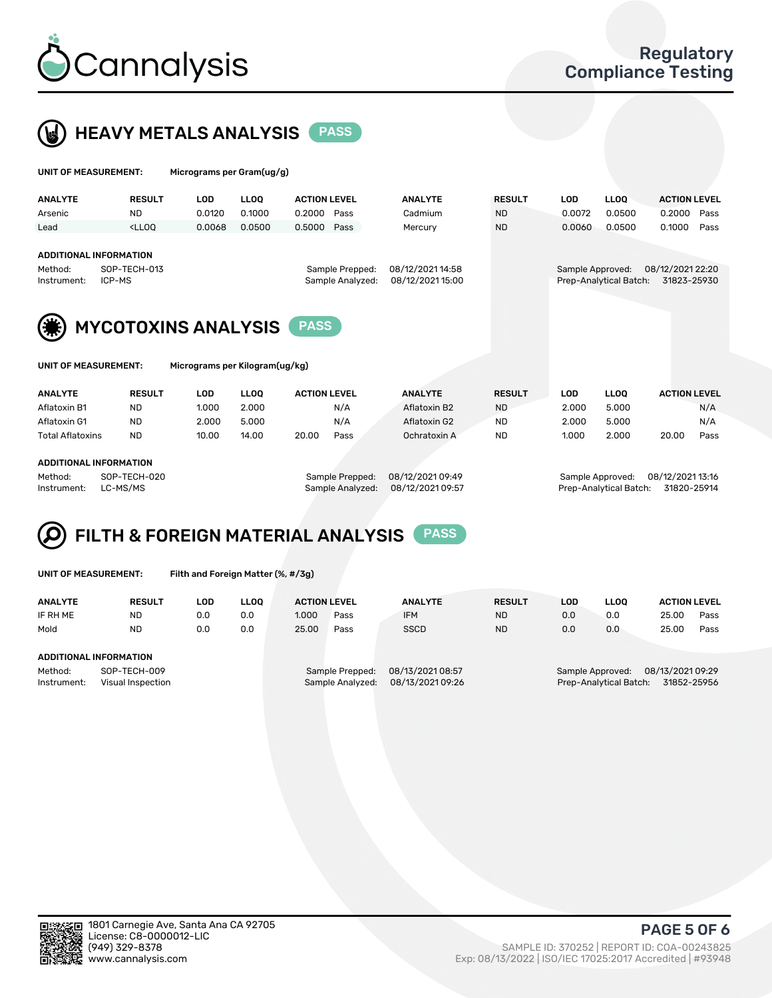



| UNIT OF MEASUREMENT:                                              |               | Micrograms per Gram(ug/g)      |             |                     |                                     |                                      |               |                  |                        |                                 |      |
|-------------------------------------------------------------------|---------------|--------------------------------|-------------|---------------------|-------------------------------------|--------------------------------------|---------------|------------------|------------------------|---------------------------------|------|
| <b>ANALYTE</b>                                                    | <b>RESULT</b> | <b>LOD</b>                     | <b>LLOO</b> | <b>ACTION LEVEL</b> |                                     | <b>ANALYTE</b>                       | <b>RESULT</b> | <b>LOD</b>       | <b>LLOQ</b>            | <b>ACTION LEVEL</b>             |      |
| Arsenic                                                           | <b>ND</b>     | 0.0120                         | 0.1000      | 0.2000              | Pass                                | Cadmium                              | <b>ND</b>     | 0.0072           | 0.0500                 | 0.2000                          | Pass |
| Lead                                                              | $<$ LLOO      | 0.0068                         | 0.0500      | 0.5000              | Pass                                | Mercury                              | <b>ND</b>     | 0.0060           | 0.0500                 | 0.1000                          | Pass |
| <b>ADDITIONAL INFORMATION</b><br>Method:<br>ICP-MS<br>Instrument: | SOP-TECH-013  | <b>MYCOTOXINS ANALYSIS</b>     |             | <b>PASS</b>         | Sample Prepped:<br>Sample Analyzed: | 08/12/2021 14:58<br>08/12/2021 15:00 |               | Sample Approved: | Prep-Analytical Batch: | 08/12/2021 22:20<br>31823-25930 |      |
| <b>UNIT OF MEASUREMENT:</b>                                       |               | Micrograms per Kilogram(ug/kg) |             |                     |                                     |                                      |               |                  |                        |                                 |      |
| <b>ANALYTE</b>                                                    | <b>RESULT</b> | <b>LOD</b>                     | <b>LLOO</b> | <b>ACTION LEVEL</b> |                                     | <b>ANALYTE</b>                       | <b>RESULT</b> | <b>LOD</b>       | <b>LLOQ</b>            | <b>ACTION LEVEL</b>             |      |
| Aflatoxin B1                                                      | <b>ND</b>     | 1.000                          | 2.000       |                     | N/A                                 | Aflatoxin B2                         | <b>ND</b>     | 2.000            | 5.000                  |                                 | N/A  |
| Aflatoxin G1                                                      | <b>ND</b>     | 2.000                          | 5.000       |                     | N/A                                 | Aflatoxin G2                         | <b>ND</b>     | 2.000            | 5.000                  |                                 | N/A  |
| <b>Total Aflatoxins</b>                                           | <b>ND</b>     | 10.00                          | 14.00       | 20.00               | Pass                                | Ochratoxin A                         | <b>ND</b>     | 1.000            | 2.000                  | 20.00                           | Pass |

#### ADDITIONAL INFORMATION

Method: SOP-TECH-020 Sample Prepped: 08/12/2021 09:49 Sample Approved: 08/12/2021 13:16 Instrument: LC-MS/MS Sample Analyzed: 08/12/2021 09:57 Prep-Analytical Batch: 31820-25914

#### FILTH & FOREIGN MATERIAL ANALYSIS PASS Q

UNIT OF MEASUREMENT: Filth and Foreign Matter (%, #/3g)

| <b>ANALYTE</b>                                              | <b>RESULT</b> | LOD | <b>LLOO</b> | <b>ACTION LEVEL</b>                 |      | <b>ANALYTE</b>                       | <b>RESULT</b> | LOD | <b>LLOO</b>                                                                   | <b>ACTION LEVEL</b> |      |  |
|-------------------------------------------------------------|---------------|-----|-------------|-------------------------------------|------|--------------------------------------|---------------|-----|-------------------------------------------------------------------------------|---------------------|------|--|
| IF RH ME                                                    | <b>ND</b>     | 0.0 | 0.0         | 1.000                               | Pass | <b>IFM</b>                           | <b>ND</b>     | 0.0 | 0.0                                                                           | 25.00               | Pass |  |
| Mold                                                        | <b>ND</b>     | 0.0 | 0.0         | 25.00                               | Pass | <b>SSCD</b>                          | <b>ND</b>     | 0.0 | 0.0                                                                           | 25.00               | Pass |  |
| ADDITIONAL INFORMATION                                      |               |     |             |                                     |      |                                      |               |     |                                                                               |                     |      |  |
| SOP-TECH-009<br>Method:<br>Instrument:<br>Visual Inspection |               |     |             | Sample Prepped:<br>Sample Analyzed: |      | 08/13/2021 08:57<br>08/13/2021 09:26 |               |     | 08/13/2021 09:29<br>Sample Approved:<br>Prep-Analytical Batch:<br>31852-25956 |                     |      |  |